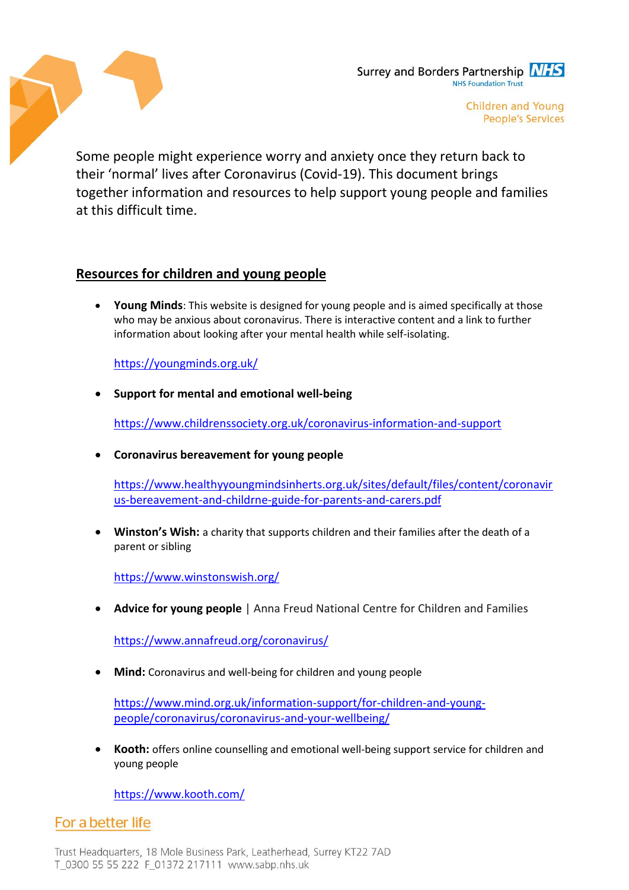Surrey and Borders Partnership **NHS NHS Foundation Trust** 



Children and Young **People's Services** 

Some people might experience worry and anxiety once they return back to their 'normal' lives after Coronavirus (Covid-19). This document brings together information and resources to help support young people and families at this difficult time.

### **Resources for children and young people**

 **Young Minds**: This website is designed for young people and is aimed specifically at those who may be anxious about coronavirus. There is interactive content and a link to further information about looking after your mental health while self-isolating.

<https://youngminds.org.uk/>

**Support for mental and emotional well-being** 

<https://www.childrenssociety.org.uk/coronavirus-information-and-support>

**Coronavirus bereavement for young people**

[https://www.healthyyoungmindsinherts.org.uk/sites/default/files/content/coronavir](https://www.healthyyoungmindsinherts.org.uk/sites/default/files/content/coronavirus-bereavement-and-childrne-guide-for-parents-and-carers.pdf) [us-bereavement-and-childrne-guide-for-parents-and-carers.pdf](https://www.healthyyoungmindsinherts.org.uk/sites/default/files/content/coronavirus-bereavement-and-childrne-guide-for-parents-and-carers.pdf)

**Winston's Wish:** a charity that supports children and their families after the death of a parent or sibling

<https://www.winstonswish.org/>

**Advice for young people** | Anna Freud National Centre for Children and Families

<https://www.annafreud.org/coronavirus/>

**Mind:** Coronavirus and well-being for children and young people

[https://www.mind.org.uk/information-support/for-children-and-young](https://www.mind.org.uk/information-support/for-children-and-young-people/coronavirus/coronavirus-and-your-wellbeing/)[people/coronavirus/coronavirus-and-your-wellbeing/](https://www.mind.org.uk/information-support/for-children-and-young-people/coronavirus/coronavirus-and-your-wellbeing/)

**Kooth:** offers online counselling and emotional well-being support service for children and young people

<https://www.kooth.com/>

# For a better life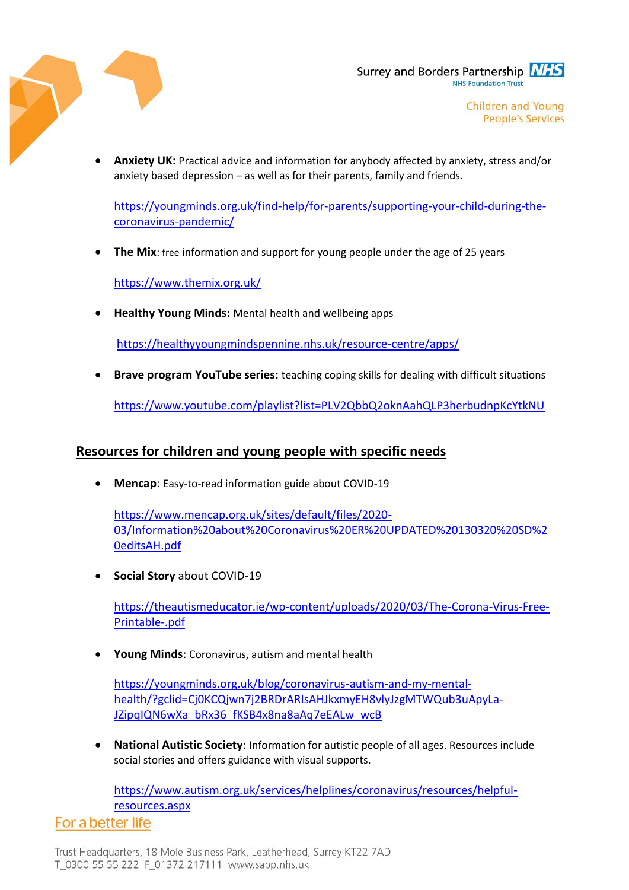

Children and Young **People's Services** 

 **Anxiety UK:** Practical advice and information for anybody affected by anxiety, stress and/or anxiety based depression – as well as for their parents, family and friends.

[https://youngminds.org.uk/find-help/for-parents/supporting-your-child-during-the](https://youngminds.org.uk/find-help/for-parents/supporting-your-child-during-the-coronavirus-pandemic/)[coronavirus-pandemic/](https://youngminds.org.uk/find-help/for-parents/supporting-your-child-during-the-coronavirus-pandemic/)

**The Mix**: free information and support for young people under the age of 25 years

<https://www.themix.org.uk/>

**Healthy Young Minds:** Mental health and wellbeing apps

<https://healthyyoungmindspennine.nhs.uk/resource-centre/apps/>

**Brave program YouTube series:** teaching coping skills for dealing with difficult situations

<https://www.youtube.com/playlist?list=PLV2QbbQ2oknAahQLP3herbudnpKcYtkNU>

### **Resources for children and young people with specific needs**

**Mencap**: Easy-to-read information guide about COVID-19

[https://www.mencap.org.uk/sites/default/files/2020-](https://www.mencap.org.uk/sites/default/files/2020-03/Information%20about%20Coronavirus%20ER%20UPDATED%20130320%20SD%20editsAH.pdf) [03/Information%20about%20Coronavirus%20ER%20UPDATED%20130320%20SD%2](https://www.mencap.org.uk/sites/default/files/2020-03/Information%20about%20Coronavirus%20ER%20UPDATED%20130320%20SD%20editsAH.pdf) [0editsAH.pdf](https://www.mencap.org.uk/sites/default/files/2020-03/Information%20about%20Coronavirus%20ER%20UPDATED%20130320%20SD%20editsAH.pdf)

**Social Story** about COVID-19

[https://theautismeducator.ie/wp-content/uploads/2020/03/The-Corona-Virus-Free-](https://theautismeducator.ie/wp-content/uploads/2020/03/The-Corona-Virus-Free-Printable-.pdf)[Printable-.pdf](https://theautismeducator.ie/wp-content/uploads/2020/03/The-Corona-Virus-Free-Printable-.pdf)

**Young Minds**: Coronavirus, autism and mental health

[https://youngminds.org.uk/blog/coronavirus-autism-and-my-mental](https://youngminds.org.uk/blog/coronavirus-autism-and-my-mental-health/?gclid=Cj0KCQjwn7j2BRDrARIsAHJkxmyEH8vlyJzgMTWQub3uApyLa-JZipqIQN6wXa_bRx36_fKSB4x8na8aAq7eEALw_wcB)[health/?gclid=Cj0KCQjwn7j2BRDrARIsAHJkxmyEH8vlyJzgMTWQub3uApyLa-](https://youngminds.org.uk/blog/coronavirus-autism-and-my-mental-health/?gclid=Cj0KCQjwn7j2BRDrARIsAHJkxmyEH8vlyJzgMTWQub3uApyLa-JZipqIQN6wXa_bRx36_fKSB4x8na8aAq7eEALw_wcB)JZipaIQN6wXa\_bRx36\_fKSB4x8na8aAq7eEALw\_wcB

 **National Autistic Society**: Information for autistic people of all ages. Resources include social stories and offers guidance with visual supports.

[https://www.autism.org.uk/services/helplines/coronavirus/resources/helpful](https://www.autism.org.uk/services/helplines/coronavirus/resources/helpful-resources.aspx)[resources.aspx](https://www.autism.org.uk/services/helplines/coronavirus/resources/helpful-resources.aspx)For a better life

#### Trust Headquarters, 18 Mole Business Park, Leatherhead, Surrey KT22 7AD T\_0300 55 55 222 F\_01372 217111 www.sabp.nhs.uk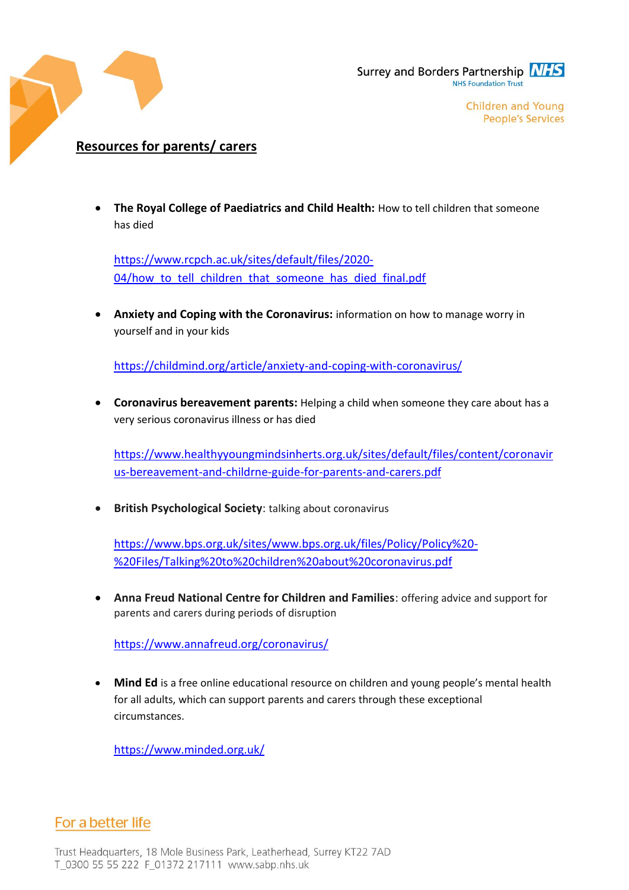

**Children and Young People's Services** 

### **Resources for parents/ carers**

**• The Royal College of Paediatrics and Child Health: How to tell children that someone** has died

[https://www.rcpch.ac.uk/sites/default/files/2020-](https://www.rcpch.ac.uk/sites/default/files/2020-04/how_to_tell_children_that_someone_has_died_final.pdf) 04/how to tell children that someone has died final.pdf

 **Anxiety and Coping with the Coronavirus:** information on how to manage worry in yourself and in your kids

<https://childmind.org/article/anxiety-and-coping-with-coronavirus/>

 **Coronavirus bereavement parents:** Helping a child when someone they care about has a very serious coronavirus illness or has died

[https://www.healthyyoungmindsinherts.org.uk/sites/default/files/content/coronavir](https://www.healthyyoungmindsinherts.org.uk/sites/default/files/content/coronavirus-bereavement-and-childrne-guide-for-parents-and-carers.pdf) [us-bereavement-and-childrne-guide-for-parents-and-carers.pdf](https://www.healthyyoungmindsinherts.org.uk/sites/default/files/content/coronavirus-bereavement-and-childrne-guide-for-parents-and-carers.pdf)

**British Psychological Society**: talking about coronavirus

[https://www.bps.org.uk/sites/www.bps.org.uk/files/Policy/Policy%20-](https://www.bps.org.uk/sites/www.bps.org.uk/files/Policy/Policy%20-%20Files/Talking%20to%20children%20about%20coronavirus.pdf) [%20Files/Talking%20to%20children%20about%20coronavirus.pdf](https://www.bps.org.uk/sites/www.bps.org.uk/files/Policy/Policy%20-%20Files/Talking%20to%20children%20about%20coronavirus.pdf)

 **Anna Freud National Centre for Children and Families**: offering advice and support for parents and carers during periods of disruption

<https://www.annafreud.org/coronavirus/>

 **Mind Ed** is a free online educational resource on children and young people's mental health for all adults, which can support parents and carers through these exceptional circumstances.

<https://www.minded.org.uk/>

## For a better life